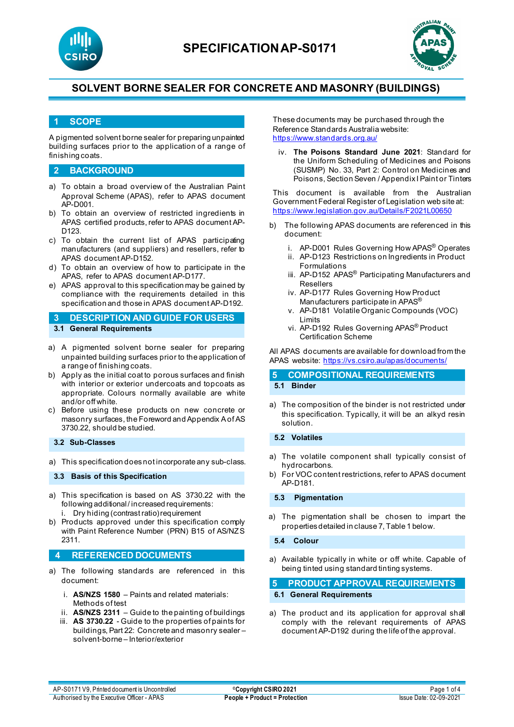



#### **1 SCOPE**

A pigmented solvent borne sealer for preparing unpainted building surfaces prior to the application of a range of finishing coats.

#### **2 BACKGROUND**

- a) To obtain a broad overview of the Australian Paint Approval Scheme (APAS), refer to APAS document AP-D001.
- b) To obtain an overview of restricted ingredients in APAS certified products, refer to APAS document AP-D123.
- c) To obtain the current list of APAS participating manufacturers (and suppliers) and resellers, refer to APAS document AP-D152.
- d) To obtain an overview of how to participate in the APAS, refer to APAS document AP-D177.
- e) APAS approval to this specification may be gained by compliance with the requirements detailed in this specification and those in APAS document AP-D192.

**3 DESCRIPTION AND GUIDE FOR USERS 3.1 General Requirements**

- a) A pigmented solvent borne sealer for preparing unpainted building surfaces prior to the application of a range of finishing coats.
- b) Apply as the initial coat to porous surfaces and finish with interior or exterior undercoats and topcoats as appropriate. Colours normally available are white and/or off white.
- c) Before using these products on new concrete or masonry surfaces, the Foreword and Appendix A of AS 3730.22, should be studied.

#### **3.2 Sub-Classes**

a) This specification does not incorporate any sub-class.

**3.3 Basis of this Specification**

- a) This specification is based on AS 3730.22 with the following additional / increased requirements: i. Dry hiding (contrast ratio) requirement
- b) Products approved under this specification comply with Paint Reference Number (PRN) B15 of AS/NZS 2311.

#### **4 REFERENCED DOCUMENTS**

- a) The following standards are referenced in this document:
	- i. **AS/NZS 1580** Paints and related materials: Methods of test
	- ii. **AS/NZS 2311**  Guide to the painting of buildings
	- iii. **AS 3730.22** Guide to the properties of paints for buildings, Part 22: Concrete and masonry sealer – solvent-borne – Interior/exterior

These documents may be purchased through the Reference Standards Australia website: <https://www.standards.org.au/>

iv. **The Poisons Standard June 2021**: Standard for the Uniform Scheduling of Medicines and Poisons (SUSMP) No. 33, Part 2: Control on Medicines and Poisons, Section Seven / Appendix I Paint or Tinters

This document is available from the Australian Government Federal Register of Legislation web site at: <https://www.legislation.gov.au/Details/F2021L00650>

- b) The following APAS documents are referenced in this document:
	- i. AP-D001 Rules Governing How APAS® Operates
	- ii. AP-D123 Restrictions on Ingredients in Product Formulations
	- iii. AP-D152 APAS<sup>®</sup> Participating Manufacturers and Resellers
	- iv. AP-D177 Rules Governing How Product Manufacturers participate in APAS®
	- v. AP-D181 Volatile Organic Compounds (VOC) Limits
	- vi. AP-D192 Rules Governing APAS® Product Certification Scheme

All APAS documents are available for download from the APAS website: <https://vs.csiro.au/apas/documents/>

#### **5 COMPOSITIONAL REQUIREMENTS 5.1 Binder**

a) The composition of the binder is not restricted under this specification. Typically, it will be an alkyd resin solution.

**5.2 Volatiles**

- a) The volatile component shall typically consist of hydrocarbons.
- b) For VOC content restrictions, refer to APAS document AP-D181.

**5.3 Pigmentation**

a) The pigmentation shall be chosen to impart the properties detailed in clause 7, Table 1 below.

#### **5.4 Colour**

a) Available typically in white or off white. Capable of being tinted using standard tinting systems.

**5 PRODUCT APPROVAL REQUIREMENTS 6.1 General Requirements**

a) The product and its application for approval shall comply with the relevant requirements of APAS document AP-D192 during the life of the approval.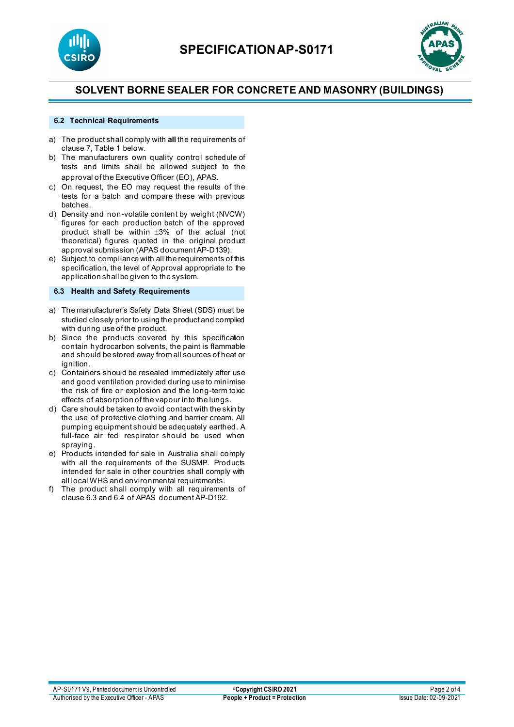



#### **6.2 Technical Requirements**

- a) The product shall comply with **all** the requirements of clause 7, Table 1 below.
- b) The manufacturers own quality control schedule of tests and limits shall be allowed subject to the approval of the Executive Officer (EO), APAS.
- c) On request, the EO may request the results of the tests for a batch and compare these with previous batches.
- d) Density and non-volatile content by weight (NVCW) figures for each production batch of the approved product shall be within ±3% of the actual (not theoretical) figures quoted in the original product approval submission (APAS document AP-D139).
- e) Subject to compliance with all the requirements of this specification, the level of Approval appropriate to the application shall be given to the system.

#### **6.3 Health and Safety Requirements**

- a) The manufacturer's Safety Data Sheet (SDS) must be studied closely prior to using the product and complied with during use of the product.
- b) Since the products covered by this specification contain hydrocarbon solvents, the paint is flammable and should be stored away from all sources of heat or ignition.
- c) Containers should be resealed immediately after use and good ventilation provided during use to minimise the risk of fire or explosion and the long-term toxic effects of absorption of the vapour into the lungs.
- d) Care should be taken to avoid contact with the skin by the use of protective clothing and barrier cream. All pumping equipment should be adequately earthed. A full-face air fed respirator should be used when spraying.
- e) Products intended for sale in Australia shall comply with all the requirements of the SUSMP. Products intended for sale in other countries shall comply with all local WHS and environmental requirements.
- f) The product shall comply with all requirements of clause 6.3 and 6.4 of APAS document AP-D192.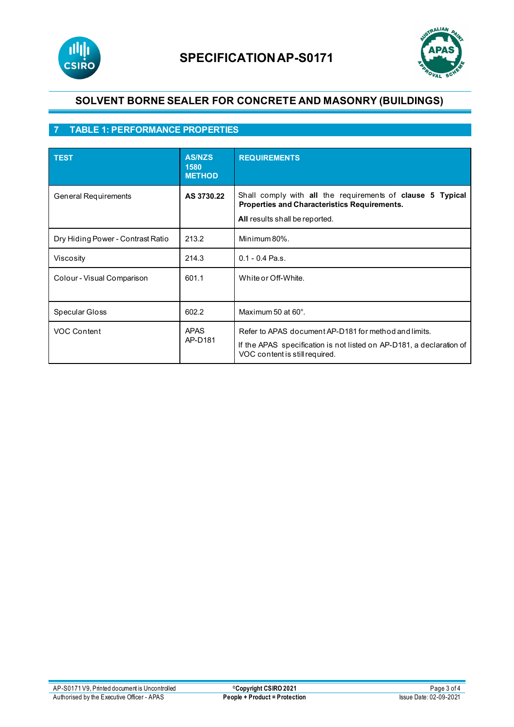



## **7 TABLE 1: PERFORMANCE PROPERTIES**

| <b>TEST</b>                       | <b>AS/NZS</b><br>1580<br><b>METHOD</b> | <b>REQUIREMENTS</b>                                                                                                                                             |
|-----------------------------------|----------------------------------------|-----------------------------------------------------------------------------------------------------------------------------------------------------------------|
| General Requirements              | AS 3730.22                             | Shall comply with all the requirements of clause 5 Typical<br>Properties and Characteristics Requirements.<br>All results shall be reported.                    |
| Dry Hiding Power - Contrast Ratio | 213.2                                  | Minimum 80%.                                                                                                                                                    |
| Viscosity                         | 214.3                                  | $0.1 - 0.4$ Pa.s.                                                                                                                                               |
| Colour - Visual Comparison        | 601.1                                  | White or Off-White.                                                                                                                                             |
| Specular Gloss                    | 602.2                                  | Maximum 50 at 60°.                                                                                                                                              |
| VOC Content                       | <b>APAS</b><br>AP-D181                 | Refer to APAS document AP-D181 for method and limits.<br>If the APAS specification is not listed on AP-D181, a declaration of<br>VOC content is still required. |